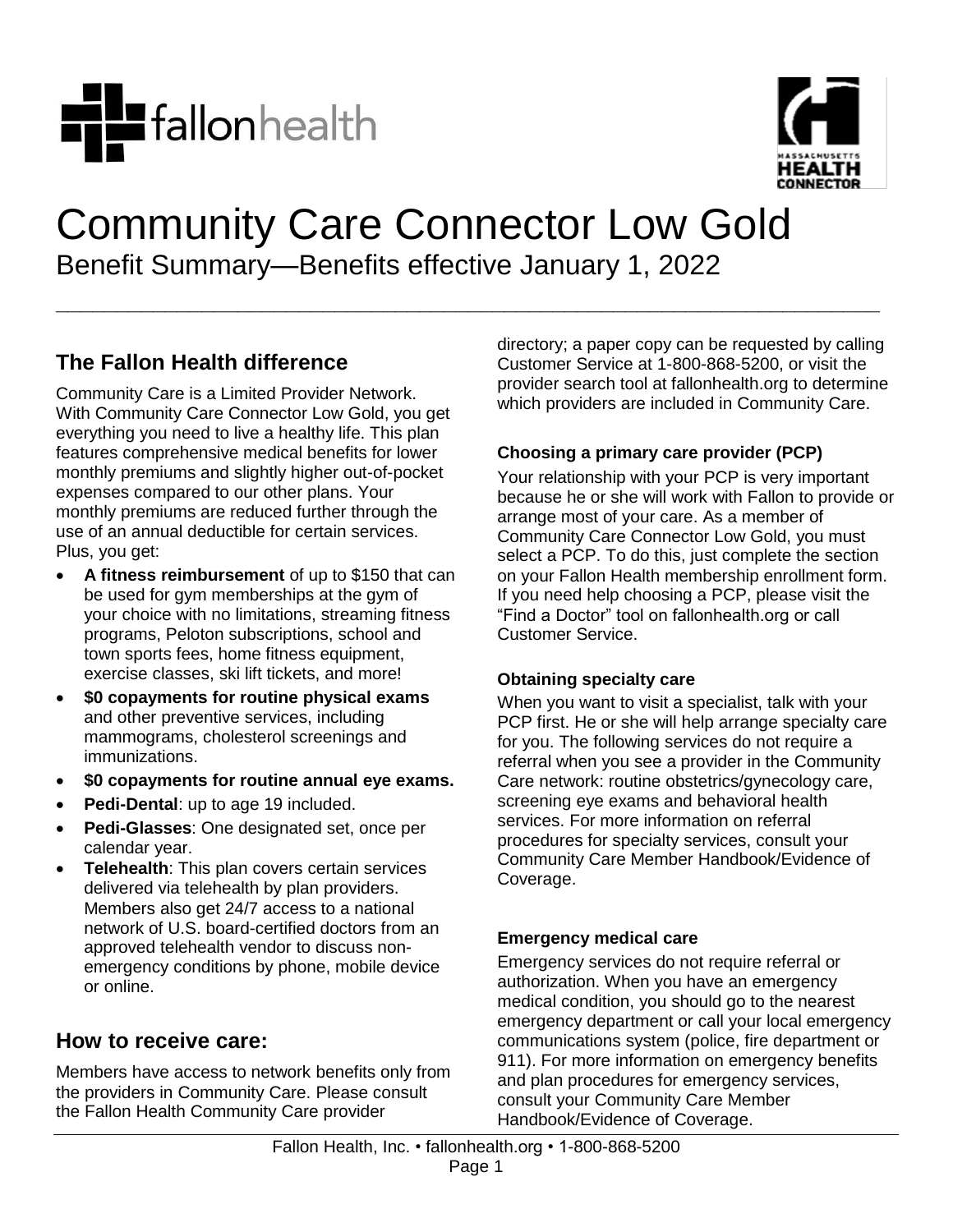



# Community Care Connector Low Gold Benefit Summary—Benefits effective January 1, 2022

**\_\_\_\_\_\_\_\_\_\_\_\_\_\_\_\_\_\_\_\_\_\_\_\_\_\_\_\_\_\_\_\_\_\_\_\_\_\_\_\_\_\_\_\_\_\_\_\_\_\_\_\_\_\_\_\_\_\_\_\_\_\_\_\_\_\_\_\_**

## **The Fallon Health difference**

Community Care is a Limited Provider Network. With Community Care Connector Low Gold, you get everything you need to live a healthy life. This plan features comprehensive medical benefits for lower monthly premiums and slightly higher out-of-pocket expenses compared to our other plans. Your monthly premiums are reduced further through the use of an annual deductible for certain services. Plus, you get:

- **A fitness reimbursement** of up to \$150 that can be used for gym memberships at the gym of your choice with no limitations, streaming fitness programs, Peloton subscriptions, school and town sports fees, home fitness equipment, exercise classes, ski lift tickets, and more!
- **\$0 copayments for routine physical exams** and other preventive services, including mammograms, cholesterol screenings and immunizations.
- **\$0 copayments for routine annual eye exams.**
- **Pedi-Dental**: up to age 19 included.
- **Pedi-Glasses**: One designated set, once per calendar year.
- **Telehealth**: This plan covers certain services delivered via telehealth by plan providers. Members also get 24/7 access to a national network of U.S. board-certified doctors from an approved telehealth vendor to discuss nonemergency conditions by phone, mobile device or online.

### **How to receive care:**

Members have access to network benefits only from the providers in Community Care. Please consult the Fallon Health Community Care provider

directory; a paper copy can be requested by calling Customer Service at 1-800-868-5200, or visit the provider search tool at fallonhealth.org to determine which providers are included in Community Care.

#### **Choosing a primary care provider (PCP)**

Your relationship with your PCP is very important because he or she will work with Fallon to provide or arrange most of your care. As a member of Community Care Connector Low Gold, you must select a PCP. To do this, just complete the section on your Fallon Health membership enrollment form. If you need help choosing a PCP, please visit the "Find a Doctor" tool on fallonhealth.org or call Customer Service.

#### **Obtaining specialty care**

When you want to visit a specialist, talk with your PCP first. He or she will help arrange specialty care for you. The following services do not require a referral when you see a provider in the Community Care network: routine obstetrics/gynecology care, screening eye exams and behavioral health services. For more information on referral procedures for specialty services, consult your Community Care Member Handbook/Evidence of Coverage.

#### **Emergency medical care**

Emergency services do not require referral or authorization. When you have an emergency medical condition, you should go to the nearest emergency department or call your local emergency communications system (police, fire department or 911). For more information on emergency benefits and plan procedures for emergency services, consult your Community Care Member Handbook/Evidence of Coverage.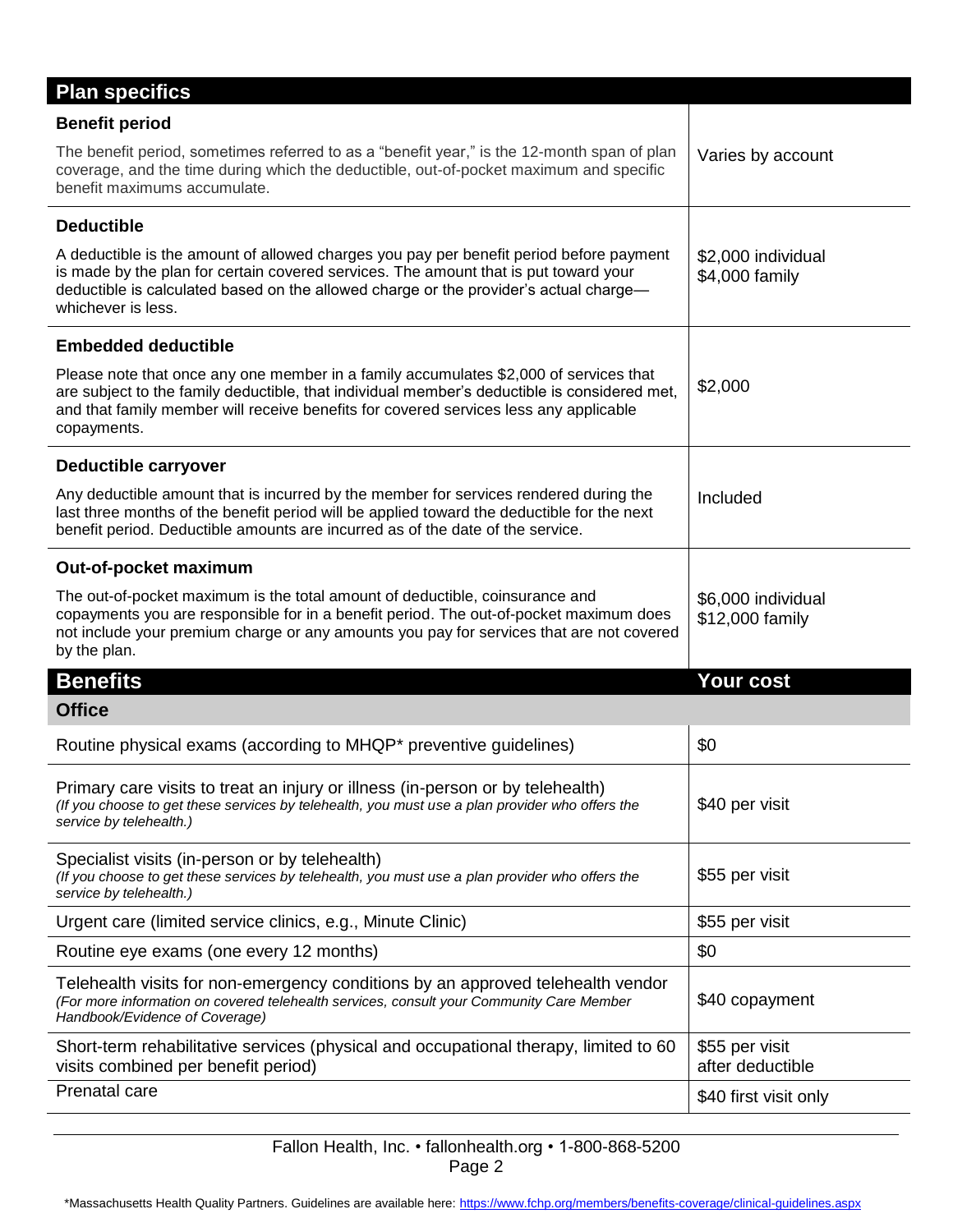| <b>Benefit period</b><br>The benefit period, sometimes referred to as a "benefit year," is the 12-month span of plan                                                                                                                                                                           |                                       |
|------------------------------------------------------------------------------------------------------------------------------------------------------------------------------------------------------------------------------------------------------------------------------------------------|---------------------------------------|
|                                                                                                                                                                                                                                                                                                |                                       |
| coverage, and the time during which the deductible, out-of-pocket maximum and specific<br>benefit maximums accumulate.                                                                                                                                                                         | Varies by account                     |
| <b>Deductible</b>                                                                                                                                                                                                                                                                              |                                       |
| A deductible is the amount of allowed charges you pay per benefit period before payment<br>is made by the plan for certain covered services. The amount that is put toward your<br>deductible is calculated based on the allowed charge or the provider's actual charge-<br>whichever is less. | \$2,000 individual<br>\$4,000 family  |
| <b>Embedded deductible</b>                                                                                                                                                                                                                                                                     |                                       |
| Please note that once any one member in a family accumulates \$2,000 of services that<br>are subject to the family deductible, that individual member's deductible is considered met,<br>and that family member will receive benefits for covered services less any applicable<br>copayments.  | \$2,000                               |
| Deductible carryover                                                                                                                                                                                                                                                                           |                                       |
| Any deductible amount that is incurred by the member for services rendered during the<br>last three months of the benefit period will be applied toward the deductible for the next<br>benefit period. Deductible amounts are incurred as of the date of the service.                          | Included                              |
| Out-of-pocket maximum                                                                                                                                                                                                                                                                          |                                       |
| The out-of-pocket maximum is the total amount of deductible, coinsurance and<br>copayments you are responsible for in a benefit period. The out-of-pocket maximum does<br>not include your premium charge or any amounts you pay for services that are not covered<br>by the plan.             | \$6,000 individual<br>\$12,000 family |
| <b>Benefits</b>                                                                                                                                                                                                                                                                                | Your cost                             |
| <b>Office</b>                                                                                                                                                                                                                                                                                  |                                       |
| Routine physical exams (according to MHQP* preventive guidelines)                                                                                                                                                                                                                              | \$0                                   |
| Primary care visits to treat an injury or illness (in-person or by telehealth)<br>(If you choose to get these services by telehealth, you must use a plan provider who offers the                                                                                                              | \$40 per visit                        |
| service by telehealth.)                                                                                                                                                                                                                                                                        |                                       |
| Specialist visits (in-person or by telehealth)<br>(If you choose to get these services by telehealth, you must use a plan provider who offers the<br>service by telehealth.)                                                                                                                   | \$55 per visit                        |
| Urgent care (limited service clinics, e.g., Minute Clinic)                                                                                                                                                                                                                                     | \$55 per visit                        |
| Routine eye exams (one every 12 months)                                                                                                                                                                                                                                                        | \$0                                   |
| Telehealth visits for non-emergency conditions by an approved telehealth vendor<br>(For more information on covered telehealth services, consult your Community Care Member<br>Handbook/Evidence of Coverage)                                                                                  | \$40 copayment                        |
| Short-term rehabilitative services (physical and occupational therapy, limited to 60<br>visits combined per benefit period)                                                                                                                                                                    | \$55 per visit<br>after deductible    |

Fallon Health, Inc. • fallonhealth.org • 1-800-868-5200 Page 2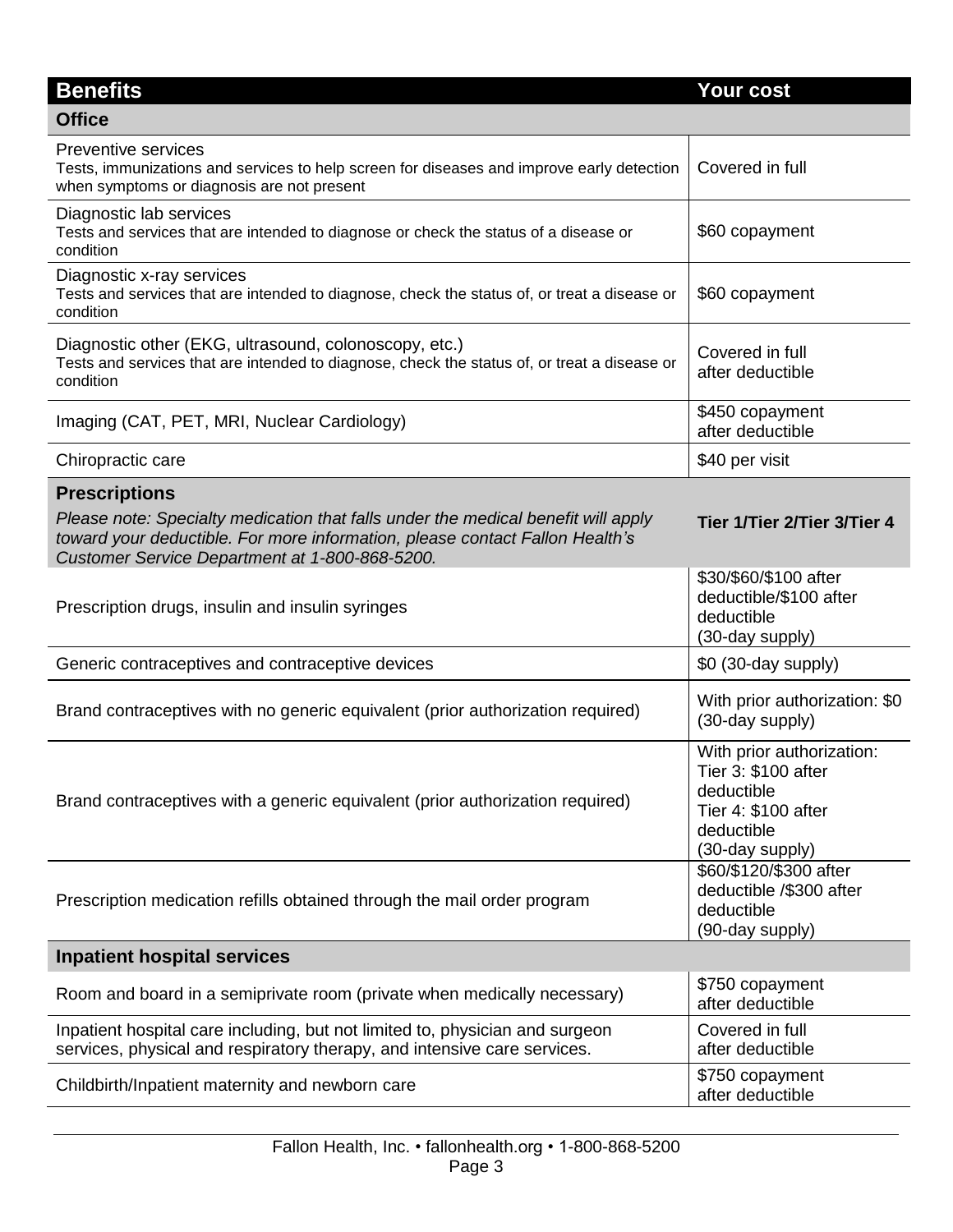| <b>Benefits</b>                                                                                                                                                                                                     | Your cost                                                                                                              |
|---------------------------------------------------------------------------------------------------------------------------------------------------------------------------------------------------------------------|------------------------------------------------------------------------------------------------------------------------|
| <b>Office</b>                                                                                                                                                                                                       |                                                                                                                        |
| <b>Preventive services</b><br>Tests, immunizations and services to help screen for diseases and improve early detection<br>when symptoms or diagnosis are not present                                               | Covered in full                                                                                                        |
| Diagnostic lab services<br>Tests and services that are intended to diagnose or check the status of a disease or<br>condition                                                                                        | \$60 copayment                                                                                                         |
| Diagnostic x-ray services<br>Tests and services that are intended to diagnose, check the status of, or treat a disease or<br>condition                                                                              | \$60 copayment                                                                                                         |
| Diagnostic other (EKG, ultrasound, colonoscopy, etc.)<br>Tests and services that are intended to diagnose, check the status of, or treat a disease or<br>condition                                                  | Covered in full<br>after deductible                                                                                    |
| Imaging (CAT, PET, MRI, Nuclear Cardiology)                                                                                                                                                                         | \$450 copayment<br>after deductible                                                                                    |
| Chiropractic care                                                                                                                                                                                                   | \$40 per visit                                                                                                         |
| <b>Prescriptions</b>                                                                                                                                                                                                |                                                                                                                        |
| Please note: Specialty medication that falls under the medical benefit will apply<br>toward your deductible. For more information, please contact Fallon Health's<br>Customer Service Department at 1-800-868-5200. | Tier 1/Tier 2/Tier 3/Tier 4                                                                                            |
| Prescription drugs, insulin and insulin syringes                                                                                                                                                                    | \$30/\$60/\$100 after<br>deductible/\$100 after<br>deductible<br>(30-day supply)                                       |
| Generic contraceptives and contraceptive devices                                                                                                                                                                    | \$0 (30-day supply)                                                                                                    |
| Brand contraceptives with no generic equivalent (prior authorization required)                                                                                                                                      | With prior authorization: \$0<br>(30-day supply)                                                                       |
| Brand contraceptives with a generic equivalent (prior authorization required)                                                                                                                                       | With prior authorization:<br>Tier 3: \$100 after<br>deductible<br>Tier 4: \$100 after<br>deductible<br>(30-day supply) |
| Prescription medication refills obtained through the mail order program                                                                                                                                             | \$60/\$120/\$300 after<br>deductible /\$300 after<br>deductible<br>(90-day supply)                                     |
| <b>Inpatient hospital services</b>                                                                                                                                                                                  |                                                                                                                        |
| Room and board in a semiprivate room (private when medically necessary)                                                                                                                                             | \$750 copayment<br>after deductible                                                                                    |
| Inpatient hospital care including, but not limited to, physician and surgeon<br>services, physical and respiratory therapy, and intensive care services.                                                            | Covered in full<br>after deductible                                                                                    |
| Childbirth/Inpatient maternity and newborn care                                                                                                                                                                     | \$750 copayment<br>after deductible                                                                                    |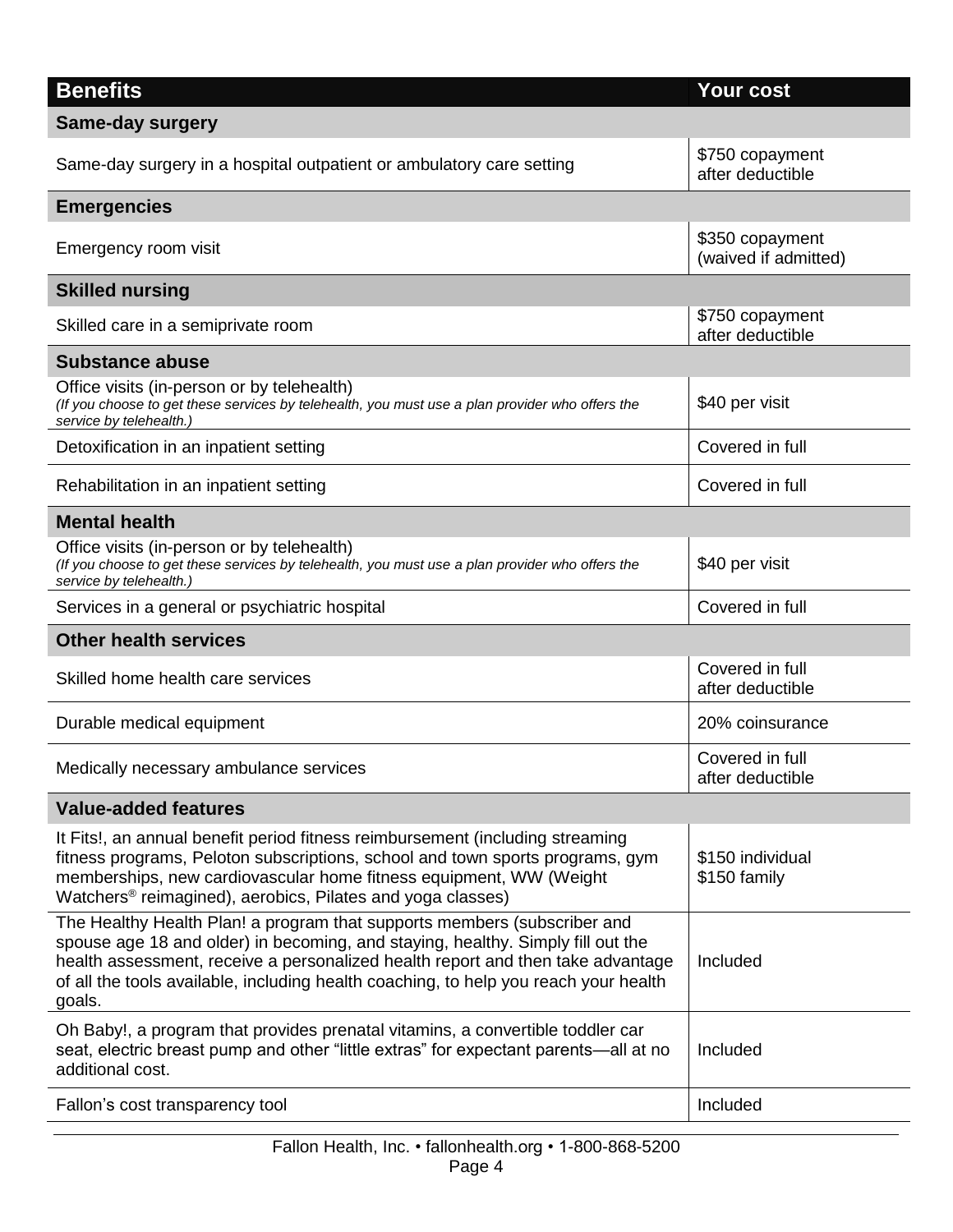| <b>Benefits</b><br><b>Same-day surgery</b><br>\$750 copayment<br>Same-day surgery in a hospital outpatient or ambulatory care setting<br>after deductible<br><b>Emergencies</b><br>\$350 copayment<br>Emergency room visit<br>(waived if admitted)<br><b>Skilled nursing</b><br>\$750 copayment<br>Skilled care in a semiprivate room<br>after deductible<br><b>Substance abuse</b><br>Office visits (in-person or by telehealth)<br>\$40 per visit<br>(If you choose to get these services by telehealth, you must use a plan provider who offers the<br>service by telehealth.)<br>Covered in full<br>Detoxification in an inpatient setting<br>Covered in full<br>Rehabilitation in an inpatient setting<br><b>Mental health</b><br>Office visits (in-person or by telehealth)<br>\$40 per visit<br>(If you choose to get these services by telehealth, you must use a plan provider who offers the<br>service by telehealth.)<br>Covered in full<br>Services in a general or psychiatric hospital<br><b>Other health services</b><br>Covered in full<br>Skilled home health care services<br>after deductible<br>Durable medical equipment<br>20% coinsurance<br>Covered in full<br>Medically necessary ambulance services<br>after deductible |
|----------------------------------------------------------------------------------------------------------------------------------------------------------------------------------------------------------------------------------------------------------------------------------------------------------------------------------------------------------------------------------------------------------------------------------------------------------------------------------------------------------------------------------------------------------------------------------------------------------------------------------------------------------------------------------------------------------------------------------------------------------------------------------------------------------------------------------------------------------------------------------------------------------------------------------------------------------------------------------------------------------------------------------------------------------------------------------------------------------------------------------------------------------------------------------------------------------------------------------------------------|
|                                                                                                                                                                                                                                                                                                                                                                                                                                                                                                                                                                                                                                                                                                                                                                                                                                                                                                                                                                                                                                                                                                                                                                                                                                                    |
|                                                                                                                                                                                                                                                                                                                                                                                                                                                                                                                                                                                                                                                                                                                                                                                                                                                                                                                                                                                                                                                                                                                                                                                                                                                    |
|                                                                                                                                                                                                                                                                                                                                                                                                                                                                                                                                                                                                                                                                                                                                                                                                                                                                                                                                                                                                                                                                                                                                                                                                                                                    |
|                                                                                                                                                                                                                                                                                                                                                                                                                                                                                                                                                                                                                                                                                                                                                                                                                                                                                                                                                                                                                                                                                                                                                                                                                                                    |
|                                                                                                                                                                                                                                                                                                                                                                                                                                                                                                                                                                                                                                                                                                                                                                                                                                                                                                                                                                                                                                                                                                                                                                                                                                                    |
|                                                                                                                                                                                                                                                                                                                                                                                                                                                                                                                                                                                                                                                                                                                                                                                                                                                                                                                                                                                                                                                                                                                                                                                                                                                    |
|                                                                                                                                                                                                                                                                                                                                                                                                                                                                                                                                                                                                                                                                                                                                                                                                                                                                                                                                                                                                                                                                                                                                                                                                                                                    |
|                                                                                                                                                                                                                                                                                                                                                                                                                                                                                                                                                                                                                                                                                                                                                                                                                                                                                                                                                                                                                                                                                                                                                                                                                                                    |
|                                                                                                                                                                                                                                                                                                                                                                                                                                                                                                                                                                                                                                                                                                                                                                                                                                                                                                                                                                                                                                                                                                                                                                                                                                                    |
|                                                                                                                                                                                                                                                                                                                                                                                                                                                                                                                                                                                                                                                                                                                                                                                                                                                                                                                                                                                                                                                                                                                                                                                                                                                    |
|                                                                                                                                                                                                                                                                                                                                                                                                                                                                                                                                                                                                                                                                                                                                                                                                                                                                                                                                                                                                                                                                                                                                                                                                                                                    |
|                                                                                                                                                                                                                                                                                                                                                                                                                                                                                                                                                                                                                                                                                                                                                                                                                                                                                                                                                                                                                                                                                                                                                                                                                                                    |
|                                                                                                                                                                                                                                                                                                                                                                                                                                                                                                                                                                                                                                                                                                                                                                                                                                                                                                                                                                                                                                                                                                                                                                                                                                                    |
|                                                                                                                                                                                                                                                                                                                                                                                                                                                                                                                                                                                                                                                                                                                                                                                                                                                                                                                                                                                                                                                                                                                                                                                                                                                    |
|                                                                                                                                                                                                                                                                                                                                                                                                                                                                                                                                                                                                                                                                                                                                                                                                                                                                                                                                                                                                                                                                                                                                                                                                                                                    |
|                                                                                                                                                                                                                                                                                                                                                                                                                                                                                                                                                                                                                                                                                                                                                                                                                                                                                                                                                                                                                                                                                                                                                                                                                                                    |
|                                                                                                                                                                                                                                                                                                                                                                                                                                                                                                                                                                                                                                                                                                                                                                                                                                                                                                                                                                                                                                                                                                                                                                                                                                                    |
| <b>Value-added features</b>                                                                                                                                                                                                                                                                                                                                                                                                                                                                                                                                                                                                                                                                                                                                                                                                                                                                                                                                                                                                                                                                                                                                                                                                                        |
| It Fits!, an annual benefit period fitness reimbursement (including streaming<br>fitness programs, Peloton subscriptions, school and town sports programs, gym<br>\$150 individual<br>memberships, new cardiovascular home fitness equipment, WW (Weight<br>\$150 family<br>Watchers <sup>®</sup> reimagined), aerobics, Pilates and yoga classes)                                                                                                                                                                                                                                                                                                                                                                                                                                                                                                                                                                                                                                                                                                                                                                                                                                                                                                 |
| The Healthy Health Plan! a program that supports members (subscriber and<br>spouse age 18 and older) in becoming, and staying, healthy. Simply fill out the<br>health assessment, receive a personalized health report and then take advantage<br>Included<br>of all the tools available, including health coaching, to help you reach your health<br>goals.                                                                                                                                                                                                                                                                                                                                                                                                                                                                                                                                                                                                                                                                                                                                                                                                                                                                                       |
| Oh Baby!, a program that provides prenatal vitamins, a convertible toddler car<br>seat, electric breast pump and other "little extras" for expectant parents—all at no<br>Included<br>additional cost.                                                                                                                                                                                                                                                                                                                                                                                                                                                                                                                                                                                                                                                                                                                                                                                                                                                                                                                                                                                                                                             |
| Included<br>Fallon's cost transparency tool                                                                                                                                                                                                                                                                                                                                                                                                                                                                                                                                                                                                                                                                                                                                                                                                                                                                                                                                                                                                                                                                                                                                                                                                        |